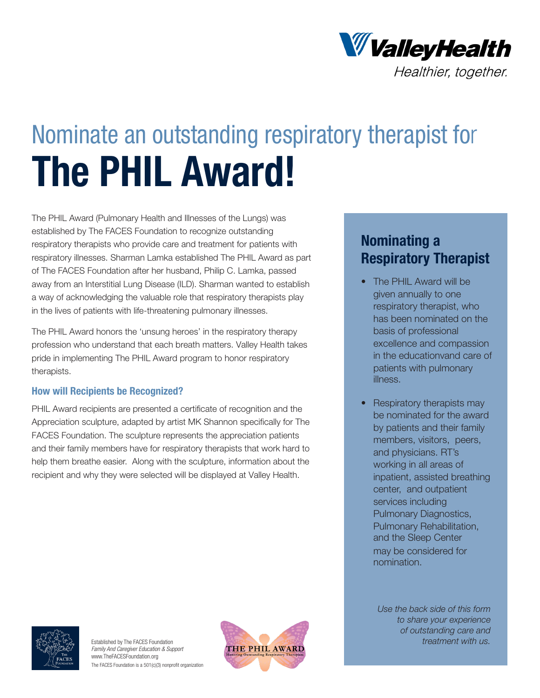

# Nominate an outstanding respiratory therapist for **The PHIL Award!**

The PHIL Award (Pulmonary Health and Illnesses of the Lungs) was established by The FACES Foundation to recognize outstanding respiratory therapists who provide care and treatment for patients with respiratory illnesses. Sharman Lamka established The PHIL Award as part of The FACES Foundation after her husband, Philip C. Lamka, passed away from an Interstitial Lung Disease (ILD). Sharman wanted to establish a way of acknowledging the valuable role that respiratory therapists play in the lives of patients with life-threatening pulmonary illnesses.

The PHIL Award honors the 'unsung heroes' in the respiratory therapy profession who understand that each breath matters. Valley Health takes pride in implementing The PHIL Award program to honor respiratory therapists.

### **How will Recipients be Recognized?**

PHIL Award recipients are presented a certificate of recognition and the Appreciation sculpture, adapted by artist MK Shannon specifically for The FACES Foundation. The sculpture represents the appreciation patients and their family members have for respiratory therapists that work hard to help them breathe easier. Along with the sculpture, information about the recipient and why they were selected will be displayed at Valley Health.

## **Nominating a Respiratory Therapist**

- The PHIL Award will be given annually to one respiratory therapist, who has been nominated on the basis of professional excellence and compassion in the educationvand care of patients with pulmonary illness.
- Respiratory therapists may be nominated for the award by patients and their family members, visitors, peers, and physicians. RT's working in all areas of inpatient, assisted breathing center, and outpatient services including Pulmonary Diagnostics, Pulmonary Rehabilitation, and the Sleep Center

may be considered for nomination.

*Use the back side of this form to share your experience of outstanding care and treatment with us.*



Established by The FACES Foundation *Family And Caregiver Education & Support* www.TheFACESFoundation.org The FACES Foundation is a 501(c)(3) nonprofit organization